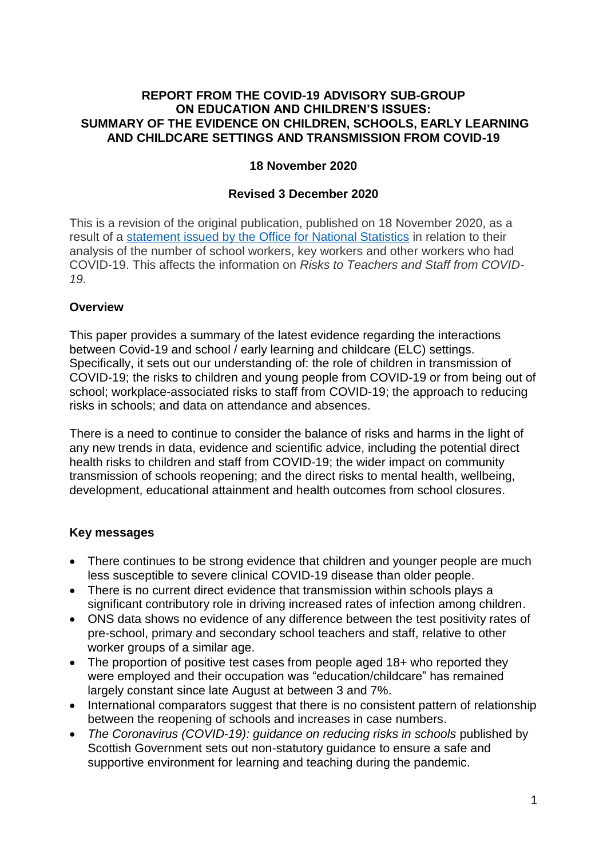#### **REPORT FROM THE COVID-19 ADVISORY SUB-GROUP ON EDUCATION AND CHILDREN'S ISSUES: SUMMARY OF THE EVIDENCE ON CHILDREN, SCHOOLS, EARLY LEARNING AND CHILDCARE SETTINGS AND TRANSMISSION FROM COVID-19**

### **18 November 2020**

#### **Revised 3 December 2020**

This is a revision of the original publication, published on 18 November 2020, as a result of a [statement issued by the Office for National Statistics](https://www.ons.gov.uk/news/statementsandletters/onsstatementaddressingquestionsaroundtheanalysisofthenumberofschoolworkerskeyworkersandotherprofessionsinenglandwhohadcovid19) in relation to their analysis of the number of school workers, key workers and other workers who had COVID-19. This affects the information on *Risks to Teachers and Staff from COVID-19.*

### **Overview**

This paper provides a summary of the latest evidence regarding the interactions between Covid-19 and school / early learning and childcare (ELC) settings. Specifically, it sets out our understanding of: the role of children in transmission of COVID-19; the risks to children and young people from COVID-19 or from being out of school; workplace-associated risks to staff from COVID-19; the approach to reducing risks in schools; and data on attendance and absences.

There is a need to continue to consider the balance of risks and harms in the light of any new trends in data, evidence and scientific advice, including the potential direct health risks to children and staff from COVID-19; the wider impact on community transmission of schools reopening; and the direct risks to mental health, wellbeing, development, educational attainment and health outcomes from school closures.

## **Key messages**

- There continues to be strong evidence that children and younger people are much less susceptible to severe clinical COVID-19 disease than older people.
- There is no current direct evidence that transmission within schools plays a significant contributory role in driving increased rates of infection among children.
- ONS data shows no evidence of any difference between the test positivity rates of pre-school, primary and secondary school teachers and staff, relative to other worker groups of a similar age.
- The proportion of positive test cases from people aged 18+ who reported they were employed and their occupation was "education/childcare" has remained largely constant since late August at between 3 and 7%.
- International comparators suggest that there is no consistent pattern of relationship between the reopening of schools and increases in case numbers.
- *The Coronavirus (COVID-19): guidance on reducing risks in schools* published by Scottish Government sets out non-statutory guidance to ensure a safe and supportive environment for learning and teaching during the pandemic.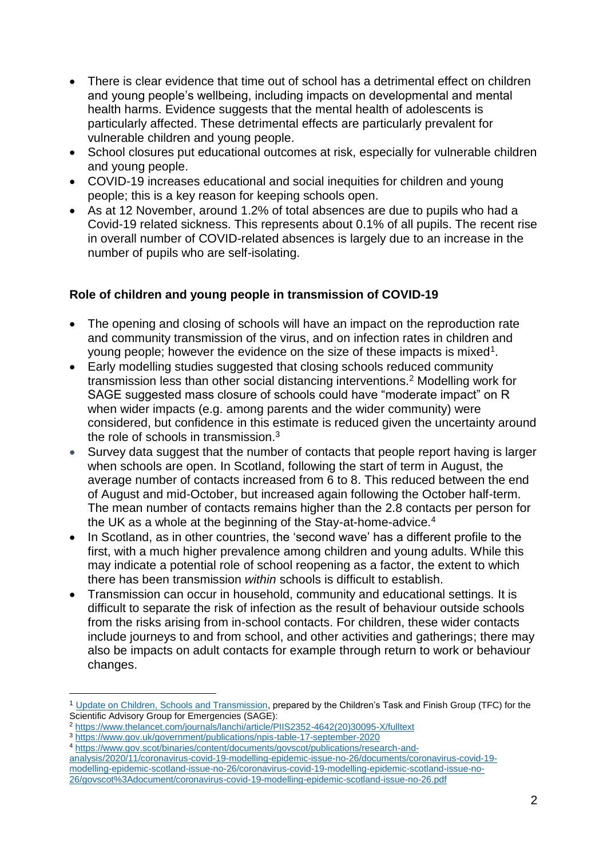- There is clear evidence that time out of school has a detrimental effect on children and young people's wellbeing, including impacts on developmental and mental health harms. Evidence suggests that the mental health of adolescents is particularly affected. These detrimental effects are particularly prevalent for vulnerable children and young people.
- School closures put educational outcomes at risk, especially for vulnerable children and young people.
- COVID-19 increases educational and social inequities for children and young people; this is a key reason for keeping schools open.
- As at 12 November, around 1.2% of total absences are due to pupils who had a Covid-19 related sickness. This represents about 0.1% of all pupils. The recent rise in overall number of COVID-related absences is largely due to an increase in the number of pupils who are self-isolating.

# **Role of children and young people in transmission of COVID-19**

- The opening and closing of schools will have an impact on the reproduction rate and community transmission of the virus, and on infection rates in children and young people; however the evidence on the size of these impacts is mixed<sup>1</sup>.
- Early modelling studies suggested that closing schools reduced community transmission less than other social distancing interventions.<sup>2</sup> Modelling work for SAGE suggested mass closure of schools could have "moderate impact" on R when wider impacts (e.g. among parents and the wider community) were considered, but confidence in this estimate is reduced given the uncertainty around the role of schools in transmission.<sup>3</sup>
- Survey data suggest that the number of contacts that people report having is larger when schools are open. In Scotland, following the start of term in August, the average number of contacts increased from 6 to 8. This reduced between the end of August and mid-October, but increased again following the October half-term. The mean number of contacts remains higher than the 2.8 contacts per person for the UK as a whole at the beginning of the Stay-at-home-advice.<sup>4</sup>
- In Scotland, as in other countries, the 'second wave' has a different profile to the first, with a much higher prevalence among children and young adults. While this may indicate a potential role of school reopening as a factor, the extent to which there has been transmission *within* schools is difficult to establish.
- Transmission can occur in household, community and educational settings. It is difficult to separate the risk of infection as the result of behaviour outside schools from the risks arising from in-school contacts. For children, these wider contacts include journeys to and from school, and other activities and gatherings; there may also be impacts on adult contacts for example through return to work or behaviour changes.

<sup>3</sup> <https://www.gov.uk/government/publications/npis-table-17-september-2020>

<sup>1</sup> [Update on Children, Schools and Transmission,](https://assets.publishing.service.gov.uk/government/uploads/system/uploads/attachment_data/file/935125/tfc-covid-19-children-transmission-s0860-041120.pdf) prepared by the Children's Task and Finish Group (TFC) for the Scientific Advisory Group for Emergencies (SAGE):

<sup>2</sup> [https://www.thelancet.com/journals/lanchi/article/PIIS2352-4642\(20\)30095-X/fulltext](https://www.thelancet.com/journals/lanchi/article/PIIS2352-4642(20)30095-X/fulltext)

<sup>4</sup> [https://www.gov.scot/binaries/content/documents/govscot/publications/research-and-](https://www.gov.scot/binaries/content/documents/govscot/publications/research-and-analysis/2020/11/coronavirus-covid-19-modelling-epidemic-issue-no-26/documents/coronavirus-covid-19-modelling-epidemic-scotland-issue-no-26/coronavirus-covid-19-modelling-epidemic-scotland-issue-no-26/govscot%3Adocument/coronavirus-covid-19-modelling-epidemic-scotland-issue-no-26.pdf)

[analysis/2020/11/coronavirus-covid-19-modelling-epidemic-issue-no-26/documents/coronavirus-covid-19](https://www.gov.scot/binaries/content/documents/govscot/publications/research-and-analysis/2020/11/coronavirus-covid-19-modelling-epidemic-issue-no-26/documents/coronavirus-covid-19-modelling-epidemic-scotland-issue-no-26/coronavirus-covid-19-modelling-epidemic-scotland-issue-no-26/govscot%3Adocument/coronavirus-covid-19-modelling-epidemic-scotland-issue-no-26.pdf) [modelling-epidemic-scotland-issue-no-26/coronavirus-covid-19-modelling-epidemic-scotland-issue-no-](https://www.gov.scot/binaries/content/documents/govscot/publications/research-and-analysis/2020/11/coronavirus-covid-19-modelling-epidemic-issue-no-26/documents/coronavirus-covid-19-modelling-epidemic-scotland-issue-no-26/coronavirus-covid-19-modelling-epidemic-scotland-issue-no-26/govscot%3Adocument/coronavirus-covid-19-modelling-epidemic-scotland-issue-no-26.pdf)[26/govscot%3Adocument/coronavirus-covid-19-modelling-epidemic-scotland-issue-no-26.pdf](https://www.gov.scot/binaries/content/documents/govscot/publications/research-and-analysis/2020/11/coronavirus-covid-19-modelling-epidemic-issue-no-26/documents/coronavirus-covid-19-modelling-epidemic-scotland-issue-no-26/coronavirus-covid-19-modelling-epidemic-scotland-issue-no-26/govscot%3Adocument/coronavirus-covid-19-modelling-epidemic-scotland-issue-no-26.pdf)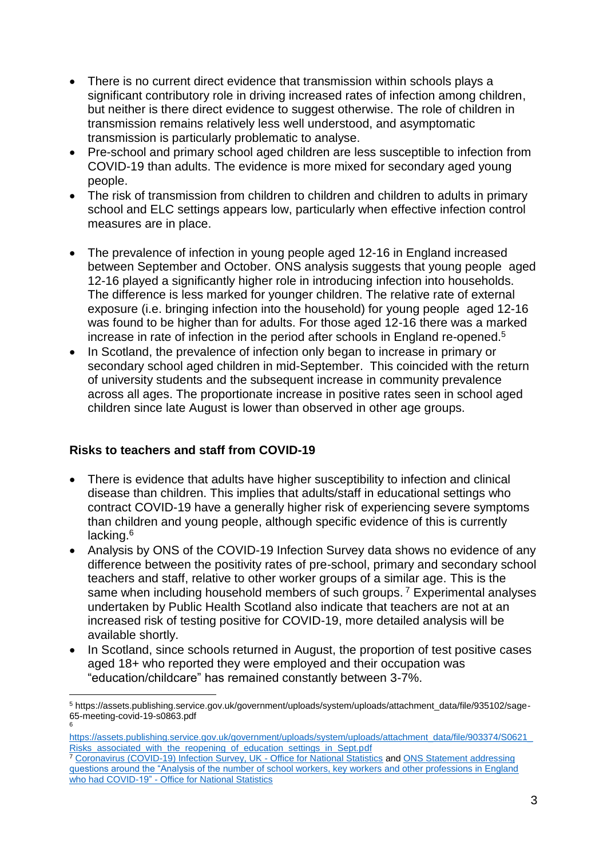- There is no current direct evidence that transmission within schools plays a significant contributory role in driving increased rates of infection among children, but neither is there direct evidence to suggest otherwise. The role of children in transmission remains relatively less well understood, and asymptomatic transmission is particularly problematic to analyse.
- Pre-school and primary school aged children are less susceptible to infection from COVID-19 than adults. The evidence is more mixed for secondary aged young people.
- The risk of transmission from children to children and children to adults in primary school and ELC settings appears low, particularly when effective infection control measures are in place.
- The prevalence of infection in young people aged 12-16 in England increased between September and October. ONS analysis suggests that young people aged 12-16 played a significantly higher role in introducing infection into households. The difference is less marked for younger children. The relative rate of external exposure (i.e. bringing infection into the household) for young people aged 12-16 was found to be higher than for adults. For those aged 12-16 there was a marked increase in rate of infection in the period after schools in England re-opened.<sup>5</sup>
- In Scotland, the prevalence of infection only began to increase in primary or secondary school aged children in mid-September. This coincided with the return of university students and the subsequent increase in community prevalence across all ages. The proportionate increase in positive rates seen in school aged children since late August is lower than observed in other age groups.

## **Risks to teachers and staff from COVID-19**

- There is evidence that adults have higher susceptibility to infection and clinical disease than children. This implies that adults/staff in educational settings who contract COVID-19 have a generally higher risk of experiencing severe symptoms than children and young people, although specific evidence of this is currently lacking.<sup>6</sup>
- Analysis by ONS of the COVID-19 Infection Survey data shows no evidence of any difference between the positivity rates of pre-school, primary and secondary school teachers and staff, relative to other worker groups of a similar age. This is the same when including household members of such groups.<sup>7</sup> Experimental analyses undertaken by Public Health Scotland also indicate that teachers are not at an increased risk of testing positive for COVID-19, more detailed analysis will be available shortly.
- In Scotland, since schools returned in August, the proportion of test positive cases aged 18+ who reported they were employed and their occupation was "education/childcare" has remained constantly between 3-7%.

<sup>5</sup> https://assets.publishing.service.gov.uk/government/uploads/system/uploads/attachment\_data/file/935102/sage-65-meeting-covid-19-s0863.pdf 6

[https://assets.publishing.service.gov.uk/government/uploads/system/uploads/attachment\\_data/file/903374/S0621\\_](https://assets.publishing.service.gov.uk/government/uploads/system/uploads/attachment_data/file/903374/S0621_Risks_associated_with_the_reopening_of_education_settings_in_Sept.pdf) [Risks\\_associated\\_with\\_the\\_reopening\\_of\\_education\\_settings\\_in\\_Sept.pdf](https://assets.publishing.service.gov.uk/government/uploads/system/uploads/attachment_data/file/903374/S0621_Risks_associated_with_the_reopening_of_education_settings_in_Sept.pdf)

<sup>7</sup> [Coronavirus \(COVID-19\) Infection Survey, UK -](https://www.ons.gov.uk/peoplepopulationandcommunity/healthandsocialcare/conditionsanddiseases/bulletins/coronaviruscovid19infectionsurveypilot/6november2020) Office for National Statistics an[d ONS Statement addressing](https://www.ons.gov.uk/news/statementsandletters/onsstatementaddressingquestionsaroundtheanalysisofthenumberofschoolworkerskeyworkersandotherprofessionsinenglandwhohadcovid19)  questions around the "Analysis of the [number of school workers, key workers and other professions in England](https://www.ons.gov.uk/news/statementsandletters/onsstatementaddressingquestionsaroundtheanalysisofthenumberofschoolworkerskeyworkersandotherprofessionsinenglandwhohadcovid19)  who had COVID-19" - [Office for National Statistics](https://www.ons.gov.uk/news/statementsandletters/onsstatementaddressingquestionsaroundtheanalysisofthenumberofschoolworkerskeyworkersandotherprofessionsinenglandwhohadcovid19)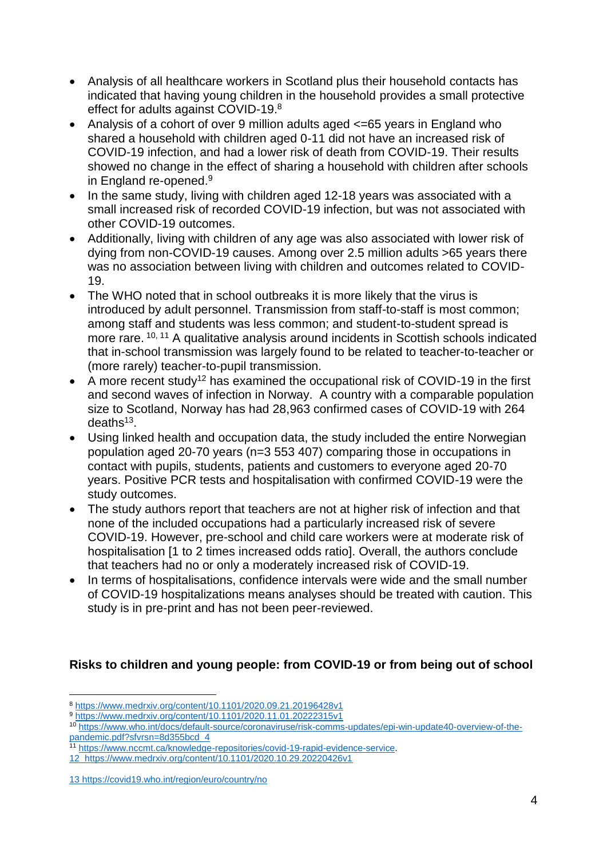- Analysis of all healthcare workers in Scotland plus their household contacts has indicated that having young children in the household provides a small protective effect for adults against COVID-19.<sup>8</sup>
- Analysis of a cohort of over 9 million adults aged <=65 years in England who shared a household with children aged 0-11 did not have an increased risk of COVID-19 infection, and had a lower risk of death from COVID-19. Their results showed no change in the effect of sharing a household with children after schools in England re-opened.<sup>9</sup>
- In the same study, living with children aged 12-18 years was associated with a small increased risk of recorded COVID-19 infection, but was not associated with other COVID-19 outcomes.
- Additionally, living with children of any age was also associated with lower risk of dying from non-COVID-19 causes. Among over 2.5 million adults >65 years there was no association between living with children and outcomes related to COVID-19.
- The WHO noted that in school outbreaks it is more likely that the virus is introduced by adult personnel. Transmission from staff-to-staff is most common; among staff and students was less common; and student-to-student spread is more rare.<sup>10, 11</sup> A qualitative analysis around incidents in Scottish schools indicated that in-school transmission was largely found to be related to teacher-to-teacher or (more rarely) teacher-to-pupil transmission.
- A more recent study<sup>12</sup> has examined the occupational risk of COVID-19 in the first and second waves of infection in Norway. A country with a comparable population size to Scotland, Norway has had 28,963 confirmed cases of COVID-19 with 264 deaths<sup>13</sup>.
- Using linked health and occupation data, the study included the entire Norwegian population aged 20-70 years (n=3 553 407) comparing those in occupations in contact with pupils, students, patients and customers to everyone aged 20-70 years. Positive PCR tests and hospitalisation with confirmed COVID-19 were the study outcomes.
- The study authors report that teachers are not at higher risk of infection and that none of the included occupations had a particularly increased risk of severe COVID-19. However, pre-school and child care workers were at moderate risk of hospitalisation [1 to 2 times increased odds ratio]. Overall, the authors conclude that teachers had no or only a moderately increased risk of COVID-19.
- In terms of hospitalisations, confidence intervals were wide and the small number of COVID-19 hospitalizations means analyses should be treated with caution. This study is in pre-print and has not been peer-reviewed.

# **Risks to children and young people: from COVID-19 or from being out of school**

<sup>8</sup> <https://www.medrxiv.org/content/10.1101/2020.09.21.20196428v1>

<sup>9</sup> <https://www.medrxiv.org/content/10.1101/2020.11.01.20222315v1>

<sup>10</sup> [https://www.who.int/docs/default-source/coronaviruse/risk-comms-updates/epi-win-update40-overview-of-the](https://www.who.int/docs/default-source/coronaviruse/risk-comms-updates/epi-win-update40-overview-of-the-pandemic.pdf?sfvrsn=8d355bcd_4)[pandemic.pdf?sfvrsn=8d355bcd\\_4](https://www.who.int/docs/default-source/coronaviruse/risk-comms-updates/epi-win-update40-overview-of-the-pandemic.pdf?sfvrsn=8d355bcd_4)

<sup>11</sup> [https://www.nccmt.ca/knowledge-repositories/covid-19-rapid-evidence-service.](https://www.nccmt.ca/knowledge-repositories/covid-19-rapid-evidence-service)

<sup>12</sup> <https://www.medrxiv.org/content/10.1101/2020.10.29.20220426v1>

<sup>13</sup> <https://covid19.who.int/region/euro/country/no>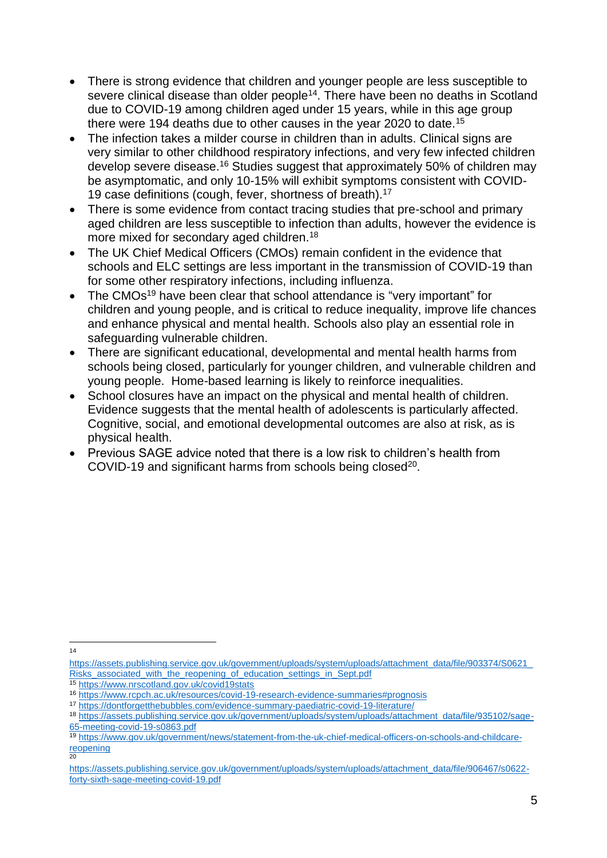- There is strong evidence that children and younger people are less susceptible to severe clinical disease than older people<sup>14</sup>. There have been no deaths in Scotland due to COVID-19 among children aged under 15 years, while in this age group there were 194 deaths due to other causes in the year 2020 to date.<sup>15</sup>
- The infection takes a milder course in children than in adults. Clinical signs are very similar to other childhood respiratory infections, and very few infected children develop severe disease.<sup>16</sup> Studies suggest that approximately 50% of children may be asymptomatic, and only 10-15% will exhibit symptoms consistent with COVID-19 case definitions (cough, fever, shortness of breath).<sup>17</sup>
- There is some evidence from contact tracing studies that pre-school and primary aged children are less susceptible to infection than adults, however the evidence is more mixed for secondary aged children.<sup>18</sup>
- The UK Chief Medical Officers (CMOs) remain confident in the evidence that schools and ELC settings are less important in the transmission of COVID-19 than for some other respiratory infections, including influenza.
- The CMOs<sup>19</sup> have been clear that school attendance is "very important" for children and young people, and is critical to reduce inequality, improve life chances and enhance physical and mental health. Schools also play an essential role in safeguarding vulnerable children.
- There are significant educational, developmental and mental health harms from schools being closed, particularly for younger children, and vulnerable children and young people. Home-based learning is likely to reinforce inequalities.
- School closures have an impact on the physical and mental health of children. Evidence suggests that the mental health of adolescents is particularly affected. Cognitive, social, and emotional developmental outcomes are also at risk, as is physical health.
- Previous SAGE advice noted that there is a low risk to children's health from COVID-19 and significant harms from schools being closed<sup>20</sup>.

<sup>15</sup> <https://www.nrscotland.gov.uk/covid19stats>

 $\frac{1}{14}$ 

[https://assets.publishing.service.gov.uk/government/uploads/system/uploads/attachment\\_data/file/903374/S0621\\_](https://assets.publishing.service.gov.uk/government/uploads/system/uploads/attachment_data/file/903374/S0621_Risks_associated_with_the_reopening_of_education_settings_in_Sept.pdf) Risks associated with the reopening of education settings in Sept.pdf

<sup>16</sup> <https://www.rcpch.ac.uk/resources/covid-19-research-evidence-summaries#prognosis>

<sup>17</sup> <https://dontforgetthebubbles.com/evidence-summary-paediatric-covid-19-literature/>

<sup>18</sup> [https://assets.publishing.service.gov.uk/government/uploads/system/uploads/attachment\\_data/file/935102/sage-](https://assets.publishing.service.gov.uk/government/uploads/system/uploads/attachment_data/file/935102/sage-65-meeting-covid-19-s0863.pdf)[65-meeting-covid-19-s0863.pdf](https://assets.publishing.service.gov.uk/government/uploads/system/uploads/attachment_data/file/935102/sage-65-meeting-covid-19-s0863.pdf)

<sup>19</sup> [https://www.gov.uk/government/news/statement-from-the-uk-chief-medical-officers-on-schools-and-childcare](https://www.gov.uk/government/news/statement-from-the-uk-chief-medical-officers-on-schools-and-childcare-reopening)[reopening](https://www.gov.uk/government/news/statement-from-the-uk-chief-medical-officers-on-schools-and-childcare-reopening) 20

[https://assets.publishing.service.gov.uk/government/uploads/system/uploads/attachment\\_data/file/906467/s0622](https://assets.publishing.service.gov.uk/government/uploads/system/uploads/attachment_data/file/906467/s0622-forty-sixth-sage-meeting-covid-19.pdf) [forty-sixth-sage-meeting-covid-19.pdf](https://assets.publishing.service.gov.uk/government/uploads/system/uploads/attachment_data/file/906467/s0622-forty-sixth-sage-meeting-covid-19.pdf)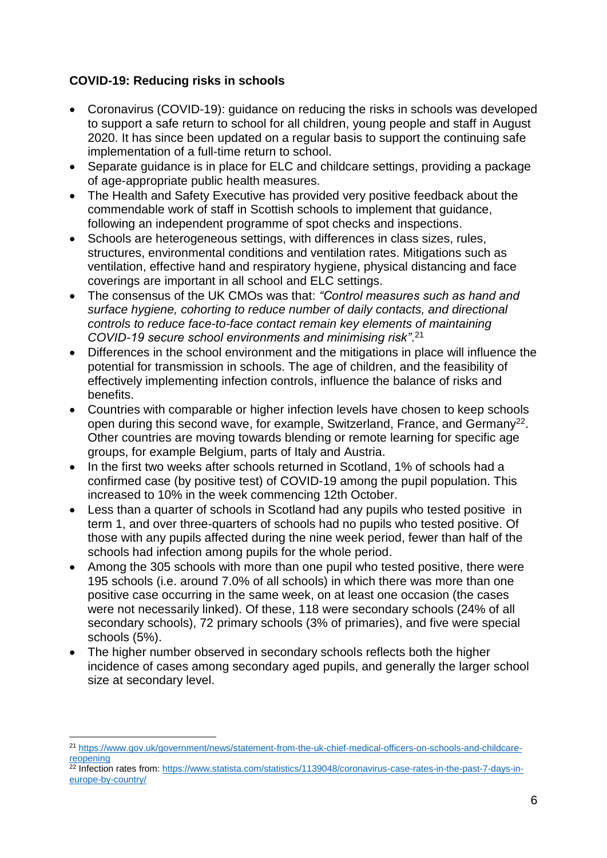# **COVID-19: Reducing risks in schools**

- Coronavirus (COVID-19): guidance on reducing the risks in schools was developed to support a safe return to school for all children, young people and staff in August 2020. It has since been updated on a regular basis to support the continuing safe implementation of a full-time return to school.
- Separate guidance is in place for ELC and childcare settings, providing a package of age-appropriate public health measures.
- The Health and Safety Executive has provided very positive feedback about the commendable work of staff in Scottish schools to implement that guidance, following an independent programme of spot checks and inspections.
- Schools are heterogeneous settings, with differences in class sizes, rules, structures, environmental conditions and ventilation rates. Mitigations such as ventilation, effective hand and respiratory hygiene, physical distancing and face coverings are important in all school and ELC settings.
- The consensus of the UK CMOs was that: *"Control measures such as hand and surface hygiene, cohorting to reduce number of daily contacts, and directional controls to reduce face-to-face contact remain key elements of maintaining COVID-19 secure school environments and minimising risk"*. 21
- Differences in the school environment and the mitigations in place will influence the potential for transmission in schools. The age of children, and the feasibility of effectively implementing infection controls, influence the balance of risks and benefits.
- Countries with comparable or higher infection levels have chosen to keep schools open during this second wave, for example, Switzerland, France, and Germany<sup>22</sup>. Other countries are moving towards blending or remote learning for specific age groups, for example Belgium, parts of Italy and Austria.
- In the first two weeks after schools returned in Scotland, 1% of schools had a confirmed case (by positive test) of COVID-19 among the pupil population. This increased to 10% in the week commencing 12th October.
- Less than a quarter of schools in Scotland had any pupils who tested positive in term 1, and over three-quarters of schools had no pupils who tested positive. Of those with any pupils affected during the nine week period, fewer than half of the schools had infection among pupils for the whole period.
- Among the 305 schools with more than one pupil who tested positive, there were 195 schools (i.e. around 7.0% of all schools) in which there was more than one positive case occurring in the same week, on at least one occasion (the cases were not necessarily linked). Of these, 118 were secondary schools (24% of all secondary schools), 72 primary schools (3% of primaries), and five were special schools (5%).
- The higher number observed in secondary schools reflects both the higher incidence of cases among secondary aged pupils, and generally the larger school size at secondary level.

<sup>21</sup> [https://www.gov.uk/government/news/statement-from-the-uk-chief-medical-officers-on-schools-and-childcare](https://www.gov.uk/government/news/statement-from-the-uk-chief-medical-officers-on-schools-and-childcare-reopening)[reopening](https://www.gov.uk/government/news/statement-from-the-uk-chief-medical-officers-on-schools-and-childcare-reopening)

<sup>&</sup>lt;sup>22</sup> Infection rates from: [https://www.statista.com/statistics/1139048/coronavirus-case-rates-in-the-past-7-days-in](https://www.statista.com/statistics/1139048/coronavirus-case-rates-in-the-past-7-days-in-europe-by-country/)[europe-by-country/](https://www.statista.com/statistics/1139048/coronavirus-case-rates-in-the-past-7-days-in-europe-by-country/)